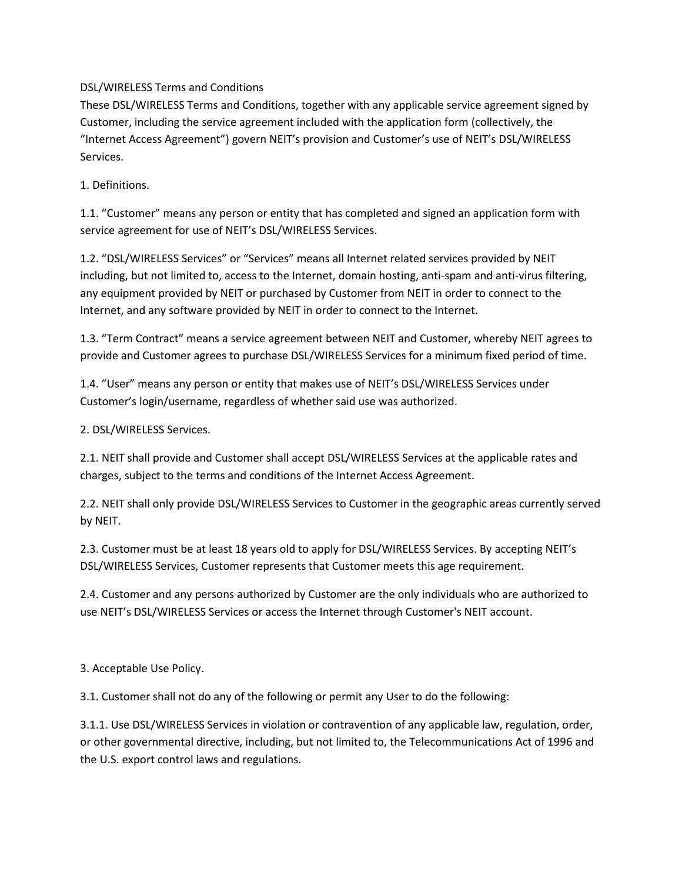DSL/WIRELESS Terms and Conditions

These DSL/WIRELESS Terms and Conditions, together with any applicable service agreement signed by Customer, including the service agreement included with the application form (collectively, the "Internet Access Agreement") govern NEIT's provision and Customer's use of NEIT's DSL/WIRELESS Services.

1. Definitions.

1.1. "Customer" means any person or entity that has completed and signed an application form with service agreement for use of NEIT's DSL/WIRELESS Services.

1.2. "DSL/WIRELESS Services" or "Services" means all Internet related services provided by NEIT including, but not limited to, access to the Internet, domain hosting, anti-spam and anti-virus filtering, any equipment provided by NEIT or purchased by Customer from NEIT in order to connect to the Internet, and any software provided by NEIT in order to connect to the Internet.

1.3. "Term Contract" means a service agreement between NEIT and Customer, whereby NEIT agrees to provide and Customer agrees to purchase DSL/WIRELESS Services for a minimum fixed period of time.

1.4. "User" means any person or entity that makes use of NEIT's DSL/WIRELESS Services under Customer's login/username, regardless of whether said use was authorized.

2. DSL/WIRELESS Services.

2.1. NEIT shall provide and Customer shall accept DSL/WIRELESS Services at the applicable rates and charges, subject to the terms and conditions of the Internet Access Agreement.

2.2. NEIT shall only provide DSL/WIRELESS Services to Customer in the geographic areas currently served by NEIT.

2.3. Customer must be at least 18 years old to apply for DSL/WIRELESS Services. By accepting NEIT's DSL/WIRELESS Services, Customer represents that Customer meets this age requirement.

2.4. Customer and any persons authorized by Customer are the only individuals who are authorized to use NEIT's DSL/WIRELESS Services or access the Internet through Customer's NEIT account.

3. Acceptable Use Policy.

3.1. Customer shall not do any of the following or permit any User to do the following:

3.1.1. Use DSL/WIRELESS Services in violation or contravention of any applicable law, regulation, order, or other governmental directive, including, but not limited to, the Telecommunications Act of 1996 and the U.S. export control laws and regulations.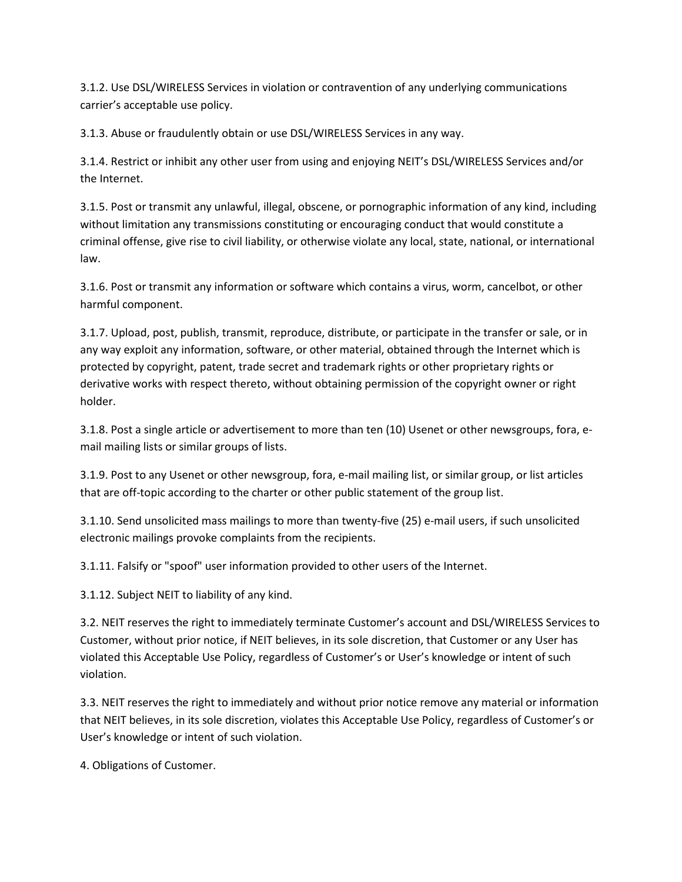3.1.2. Use DSL/WIRELESS Services in violation or contravention of any underlying communications carrier's acceptable use policy.

3.1.3. Abuse or fraudulently obtain or use DSL/WIRELESS Services in any way.

3.1.4. Restrict or inhibit any other user from using and enjoying NEIT's DSL/WIRELESS Services and/or the Internet.

3.1.5. Post or transmit any unlawful, illegal, obscene, or pornographic information of any kind, including without limitation any transmissions constituting or encouraging conduct that would constitute a criminal offense, give rise to civil liability, or otherwise violate any local, state, national, or international law.

3.1.6. Post or transmit any information or software which contains a virus, worm, cancelbot, or other harmful component.

3.1.7. Upload, post, publish, transmit, reproduce, distribute, or participate in the transfer or sale, or in any way exploit any information, software, or other material, obtained through the Internet which is protected by copyright, patent, trade secret and trademark rights or other proprietary rights or derivative works with respect thereto, without obtaining permission of the copyright owner or right holder.

3.1.8. Post a single article or advertisement to more than ten (10) Usenet or other newsgroups, fora, email mailing lists or similar groups of lists.

3.1.9. Post to any Usenet or other newsgroup, fora, e-mail mailing list, or similar group, or list articles that are off-topic according to the charter or other public statement of the group list.

3.1.10. Send unsolicited mass mailings to more than twenty-five (25) e-mail users, if such unsolicited electronic mailings provoke complaints from the recipients.

3.1.11. Falsify or "spoof" user information provided to other users of the Internet.

3.1.12. Subject NEIT to liability of any kind.

3.2. NEIT reserves the right to immediately terminate Customer's account and DSL/WIRELESS Services to Customer, without prior notice, if NEIT believes, in its sole discretion, that Customer or any User has violated this Acceptable Use Policy, regardless of Customer's or User's knowledge or intent of such violation.

3.3. NEIT reserves the right to immediately and without prior notice remove any material or information that NEIT believes, in its sole discretion, violates this Acceptable Use Policy, regardless of Customer's or User's knowledge or intent of such violation.

4. Obligations of Customer.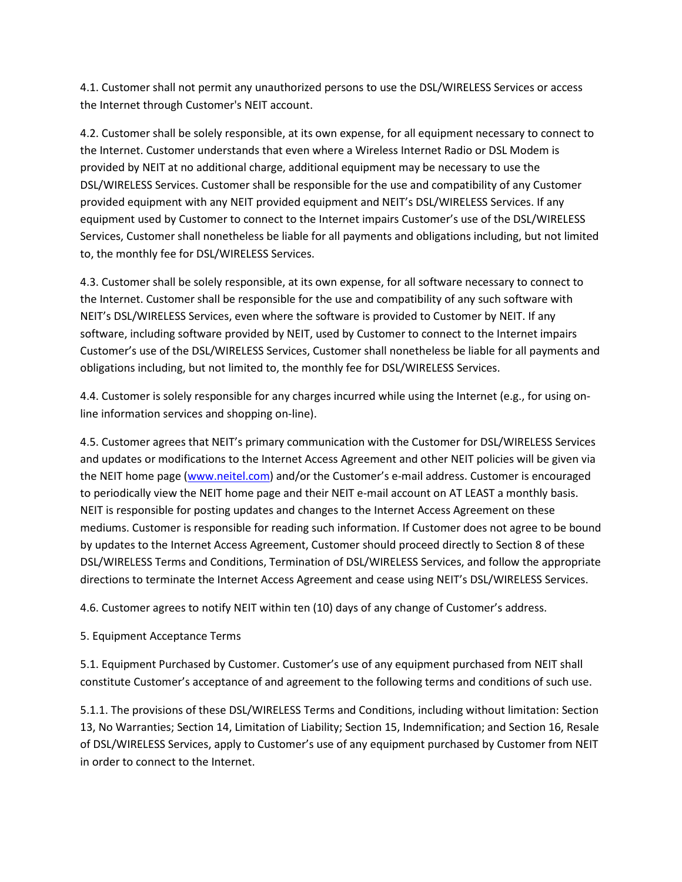4.1. Customer shall not permit any unauthorized persons to use the DSL/WIRELESS Services or access the Internet through Customer's NEIT account.

4.2. Customer shall be solely responsible, at its own expense, for all equipment necessary to connect to the Internet. Customer understands that even where a Wireless Internet Radio or DSL Modem is provided by NEIT at no additional charge, additional equipment may be necessary to use the DSL/WIRELESS Services. Customer shall be responsible for the use and compatibility of any Customer provided equipment with any NEIT provided equipment and NEIT's DSL/WIRELESS Services. If any equipment used by Customer to connect to the Internet impairs Customer's use of the DSL/WIRELESS Services, Customer shall nonetheless be liable for all payments and obligations including, but not limited to, the monthly fee for DSL/WIRELESS Services.

4.3. Customer shall be solely responsible, at its own expense, for all software necessary to connect to the Internet. Customer shall be responsible for the use and compatibility of any such software with NEIT's DSL/WIRELESS Services, even where the software is provided to Customer by NEIT. If any software, including software provided by NEIT, used by Customer to connect to the Internet impairs Customer's use of the DSL/WIRELESS Services, Customer shall nonetheless be liable for all payments and obligations including, but not limited to, the monthly fee for DSL/WIRELESS Services.

4.4. Customer is solely responsible for any charges incurred while using the Internet (e.g., for using online information services and shopping on-line).

4.5. Customer agrees that NEIT's primary communication with the Customer for DSL/WIRELESS Services and updates or modifications to the Internet Access Agreement and other NEIT policies will be given via the NEIT home page [\(www.neitel.com\)](http://www.neitel.com/) and/or the Customer's e-mail address. Customer is encouraged to periodically view the NEIT home page and their NEIT e-mail account on AT LEAST a monthly basis. NEIT is responsible for posting updates and changes to the Internet Access Agreement on these mediums. Customer is responsible for reading such information. If Customer does not agree to be bound by updates to the Internet Access Agreement, Customer should proceed directly to Section 8 of these DSL/WIRELESS Terms and Conditions, Termination of DSL/WIRELESS Services, and follow the appropriate directions to terminate the Internet Access Agreement and cease using NEIT's DSL/WIRELESS Services.

4.6. Customer agrees to notify NEIT within ten (10) days of any change of Customer's address.

## 5. Equipment Acceptance Terms

5.1. Equipment Purchased by Customer. Customer's use of any equipment purchased from NEIT shall constitute Customer's acceptance of and agreement to the following terms and conditions of such use.

5.1.1. The provisions of these DSL/WIRELESS Terms and Conditions, including without limitation: Section 13, No Warranties; Section 14, Limitation of Liability; Section 15, Indemnification; and Section 16, Resale of DSL/WIRELESS Services, apply to Customer's use of any equipment purchased by Customer from NEIT in order to connect to the Internet.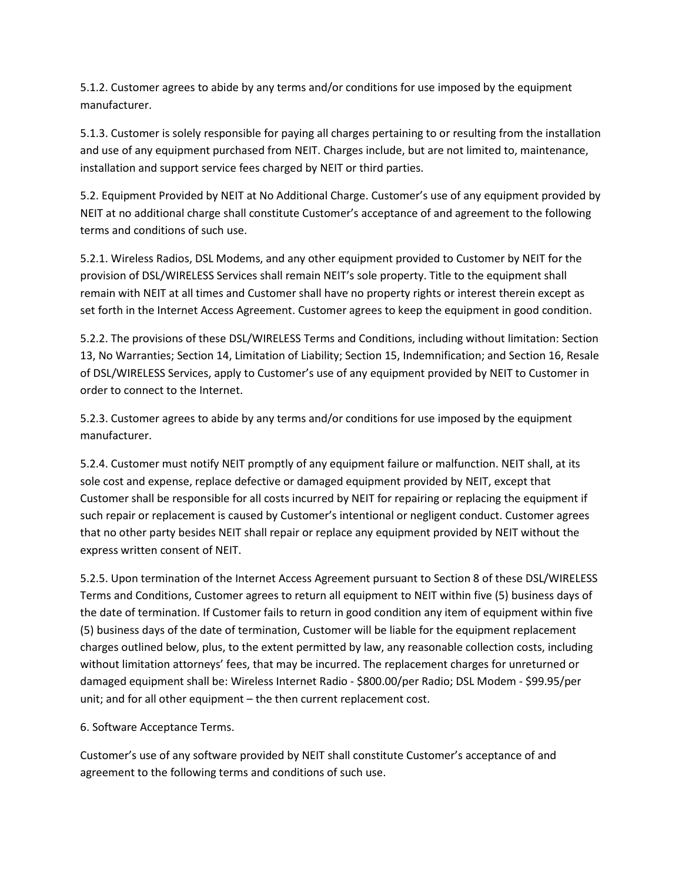5.1.2. Customer agrees to abide by any terms and/or conditions for use imposed by the equipment manufacturer.

5.1.3. Customer is solely responsible for paying all charges pertaining to or resulting from the installation and use of any equipment purchased from NEIT. Charges include, but are not limited to, maintenance, installation and support service fees charged by NEIT or third parties.

5.2. Equipment Provided by NEIT at No Additional Charge. Customer's use of any equipment provided by NEIT at no additional charge shall constitute Customer's acceptance of and agreement to the following terms and conditions of such use.

5.2.1. Wireless Radios, DSL Modems, and any other equipment provided to Customer by NEIT for the provision of DSL/WIRELESS Services shall remain NEIT's sole property. Title to the equipment shall remain with NEIT at all times and Customer shall have no property rights or interest therein except as set forth in the Internet Access Agreement. Customer agrees to keep the equipment in good condition.

5.2.2. The provisions of these DSL/WIRELESS Terms and Conditions, including without limitation: Section 13, No Warranties; Section 14, Limitation of Liability; Section 15, Indemnification; and Section 16, Resale of DSL/WIRELESS Services, apply to Customer's use of any equipment provided by NEIT to Customer in order to connect to the Internet.

5.2.3. Customer agrees to abide by any terms and/or conditions for use imposed by the equipment manufacturer.

5.2.4. Customer must notify NEIT promptly of any equipment failure or malfunction. NEIT shall, at its sole cost and expense, replace defective or damaged equipment provided by NEIT, except that Customer shall be responsible for all costs incurred by NEIT for repairing or replacing the equipment if such repair or replacement is caused by Customer's intentional or negligent conduct. Customer agrees that no other party besides NEIT shall repair or replace any equipment provided by NEIT without the express written consent of NEIT.

5.2.5. Upon termination of the Internet Access Agreement pursuant to Section 8 of these DSL/WIRELESS Terms and Conditions, Customer agrees to return all equipment to NEIT within five (5) business days of the date of termination. If Customer fails to return in good condition any item of equipment within five (5) business days of the date of termination, Customer will be liable for the equipment replacement charges outlined below, plus, to the extent permitted by law, any reasonable collection costs, including without limitation attorneys' fees, that may be incurred. The replacement charges for unreturned or damaged equipment shall be: Wireless Internet Radio - \$800.00/per Radio; DSL Modem - \$99.95/per unit; and for all other equipment – the then current replacement cost.

6. Software Acceptance Terms.

Customer's use of any software provided by NEIT shall constitute Customer's acceptance of and agreement to the following terms and conditions of such use.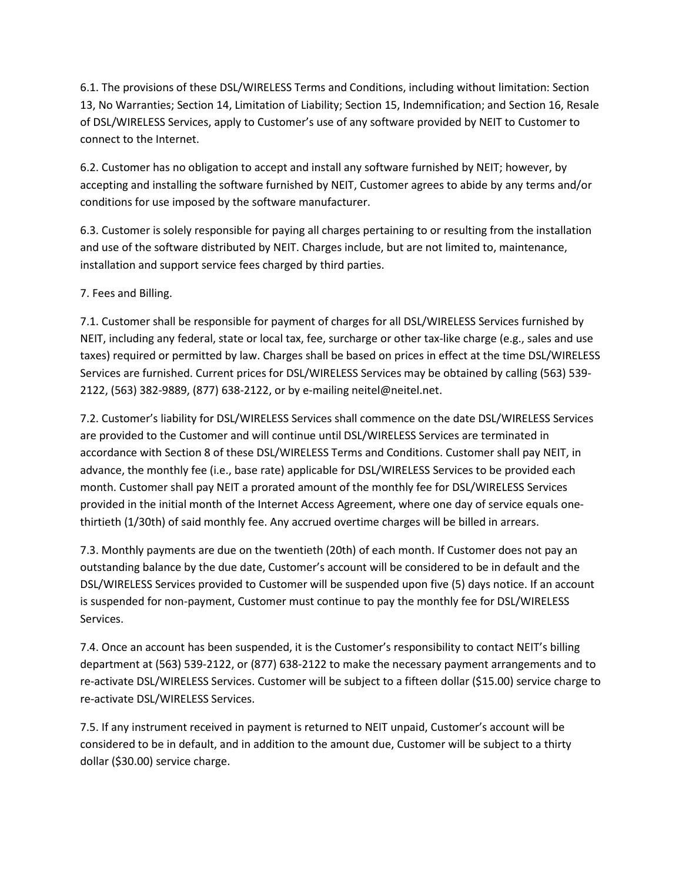6.1. The provisions of these DSL/WIRELESS Terms and Conditions, including without limitation: Section 13, No Warranties; Section 14, Limitation of Liability; Section 15, Indemnification; and Section 16, Resale of DSL/WIRELESS Services, apply to Customer's use of any software provided by NEIT to Customer to connect to the Internet.

6.2. Customer has no obligation to accept and install any software furnished by NEIT; however, by accepting and installing the software furnished by NEIT, Customer agrees to abide by any terms and/or conditions for use imposed by the software manufacturer.

6.3. Customer is solely responsible for paying all charges pertaining to or resulting from the installation and use of the software distributed by NEIT. Charges include, but are not limited to, maintenance, installation and support service fees charged by third parties.

7. Fees and Billing.

7.1. Customer shall be responsible for payment of charges for all DSL/WIRELESS Services furnished by NEIT, including any federal, state or local tax, fee, surcharge or other tax-like charge (e.g., sales and use taxes) required or permitted by law. Charges shall be based on prices in effect at the time DSL/WIRELESS Services are furnished. Current prices for DSL/WIRELESS Services may be obtained by calling (563) 539- 2122, (563) 382-9889, (877) 638-2122, or by e-mailing neitel@neitel.net.

7.2. Customer's liability for DSL/WIRELESS Services shall commence on the date DSL/WIRELESS Services are provided to the Customer and will continue until DSL/WIRELESS Services are terminated in accordance with Section 8 of these DSL/WIRELESS Terms and Conditions. Customer shall pay NEIT, in advance, the monthly fee (i.e., base rate) applicable for DSL/WIRELESS Services to be provided each month. Customer shall pay NEIT a prorated amount of the monthly fee for DSL/WIRELESS Services provided in the initial month of the Internet Access Agreement, where one day of service equals onethirtieth (1/30th) of said monthly fee. Any accrued overtime charges will be billed in arrears.

7.3. Monthly payments are due on the twentieth (20th) of each month. If Customer does not pay an outstanding balance by the due date, Customer's account will be considered to be in default and the DSL/WIRELESS Services provided to Customer will be suspended upon five (5) days notice. If an account is suspended for non-payment, Customer must continue to pay the monthly fee for DSL/WIRELESS Services.

7.4. Once an account has been suspended, it is the Customer's responsibility to contact NEIT's billing department at (563) 539-2122, or (877) 638-2122 to make the necessary payment arrangements and to re-activate DSL/WIRELESS Services. Customer will be subject to a fifteen dollar (\$15.00) service charge to re-activate DSL/WIRELESS Services.

7.5. If any instrument received in payment is returned to NEIT unpaid, Customer's account will be considered to be in default, and in addition to the amount due, Customer will be subject to a thirty dollar (\$30.00) service charge.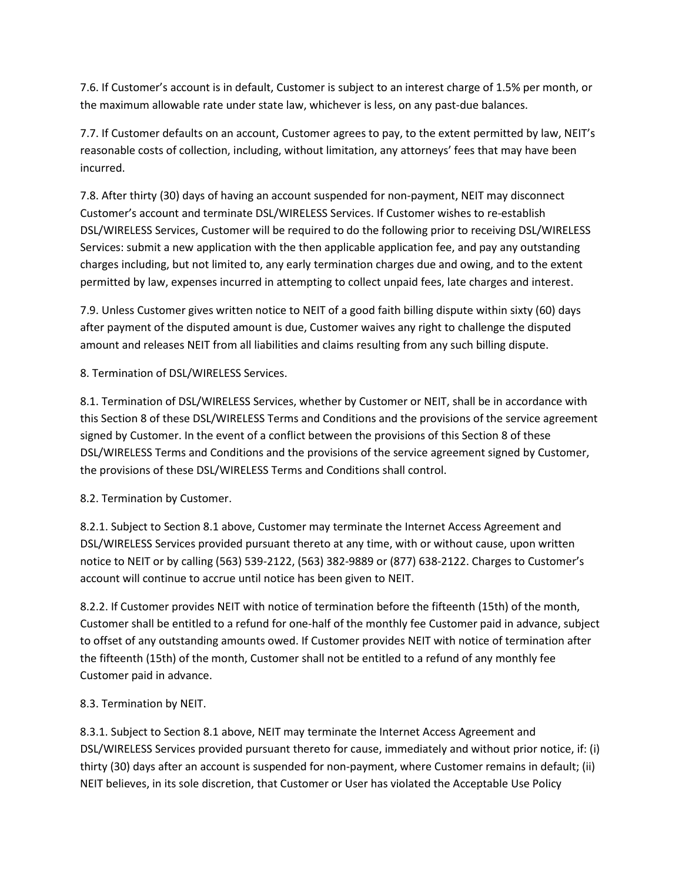7.6. If Customer's account is in default, Customer is subject to an interest charge of 1.5% per month, or the maximum allowable rate under state law, whichever is less, on any past-due balances.

7.7. If Customer defaults on an account, Customer agrees to pay, to the extent permitted by law, NEIT's reasonable costs of collection, including, without limitation, any attorneys' fees that may have been incurred.

7.8. After thirty (30) days of having an account suspended for non-payment, NEIT may disconnect Customer's account and terminate DSL/WIRELESS Services. If Customer wishes to re-establish DSL/WIRELESS Services, Customer will be required to do the following prior to receiving DSL/WIRELESS Services: submit a new application with the then applicable application fee, and pay any outstanding charges including, but not limited to, any early termination charges due and owing, and to the extent permitted by law, expenses incurred in attempting to collect unpaid fees, late charges and interest.

7.9. Unless Customer gives written notice to NEIT of a good faith billing dispute within sixty (60) days after payment of the disputed amount is due, Customer waives any right to challenge the disputed amount and releases NEIT from all liabilities and claims resulting from any such billing dispute.

8. Termination of DSL/WIRELESS Services.

8.1. Termination of DSL/WIRELESS Services, whether by Customer or NEIT, shall be in accordance with this Section 8 of these DSL/WIRELESS Terms and Conditions and the provisions of the service agreement signed by Customer. In the event of a conflict between the provisions of this Section 8 of these DSL/WIRELESS Terms and Conditions and the provisions of the service agreement signed by Customer, the provisions of these DSL/WIRELESS Terms and Conditions shall control.

8.2. Termination by Customer.

8.2.1. Subject to Section 8.1 above, Customer may terminate the Internet Access Agreement and DSL/WIRELESS Services provided pursuant thereto at any time, with or without cause, upon written notice to NEIT or by calling (563) 539-2122, (563) 382-9889 or (877) 638-2122. Charges to Customer's account will continue to accrue until notice has been given to NEIT.

8.2.2. If Customer provides NEIT with notice of termination before the fifteenth (15th) of the month, Customer shall be entitled to a refund for one-half of the monthly fee Customer paid in advance, subject to offset of any outstanding amounts owed. If Customer provides NEIT with notice of termination after the fifteenth (15th) of the month, Customer shall not be entitled to a refund of any monthly fee Customer paid in advance.

8.3. Termination by NEIT.

8.3.1. Subject to Section 8.1 above, NEIT may terminate the Internet Access Agreement and DSL/WIRELESS Services provided pursuant thereto for cause, immediately and without prior notice, if: (i) thirty (30) days after an account is suspended for non-payment, where Customer remains in default; (ii) NEIT believes, in its sole discretion, that Customer or User has violated the Acceptable Use Policy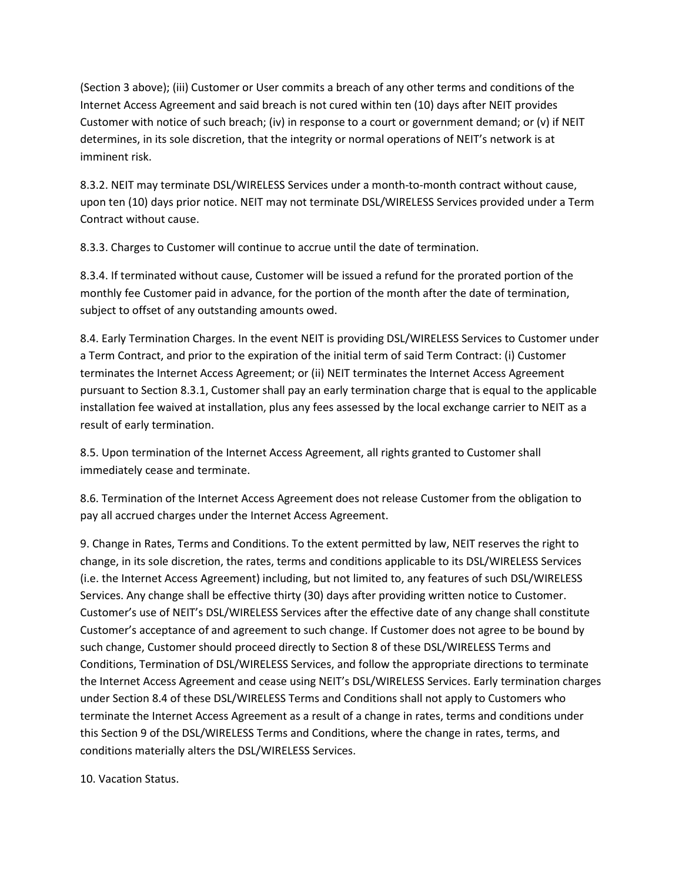(Section 3 above); (iii) Customer or User commits a breach of any other terms and conditions of the Internet Access Agreement and said breach is not cured within ten (10) days after NEIT provides Customer with notice of such breach; (iv) in response to a court or government demand; or (v) if NEIT determines, in its sole discretion, that the integrity or normal operations of NEIT's network is at imminent risk.

8.3.2. NEIT may terminate DSL/WIRELESS Services under a month-to-month contract without cause, upon ten (10) days prior notice. NEIT may not terminate DSL/WIRELESS Services provided under a Term Contract without cause.

8.3.3. Charges to Customer will continue to accrue until the date of termination.

8.3.4. If terminated without cause, Customer will be issued a refund for the prorated portion of the monthly fee Customer paid in advance, for the portion of the month after the date of termination, subject to offset of any outstanding amounts owed.

8.4. Early Termination Charges. In the event NEIT is providing DSL/WIRELESS Services to Customer under a Term Contract, and prior to the expiration of the initial term of said Term Contract: (i) Customer terminates the Internet Access Agreement; or (ii) NEIT terminates the Internet Access Agreement pursuant to Section 8.3.1, Customer shall pay an early termination charge that is equal to the applicable installation fee waived at installation, plus any fees assessed by the local exchange carrier to NEIT as a result of early termination.

8.5. Upon termination of the Internet Access Agreement, all rights granted to Customer shall immediately cease and terminate.

8.6. Termination of the Internet Access Agreement does not release Customer from the obligation to pay all accrued charges under the Internet Access Agreement.

9. Change in Rates, Terms and Conditions. To the extent permitted by law, NEIT reserves the right to change, in its sole discretion, the rates, terms and conditions applicable to its DSL/WIRELESS Services (i.e. the Internet Access Agreement) including, but not limited to, any features of such DSL/WIRELESS Services. Any change shall be effective thirty (30) days after providing written notice to Customer. Customer's use of NEIT's DSL/WIRELESS Services after the effective date of any change shall constitute Customer's acceptance of and agreement to such change. If Customer does not agree to be bound by such change, Customer should proceed directly to Section 8 of these DSL/WIRELESS Terms and Conditions, Termination of DSL/WIRELESS Services, and follow the appropriate directions to terminate the Internet Access Agreement and cease using NEIT's DSL/WIRELESS Services. Early termination charges under Section 8.4 of these DSL/WIRELESS Terms and Conditions shall not apply to Customers who terminate the Internet Access Agreement as a result of a change in rates, terms and conditions under this Section 9 of the DSL/WIRELESS Terms and Conditions, where the change in rates, terms, and conditions materially alters the DSL/WIRELESS Services.

10. Vacation Status.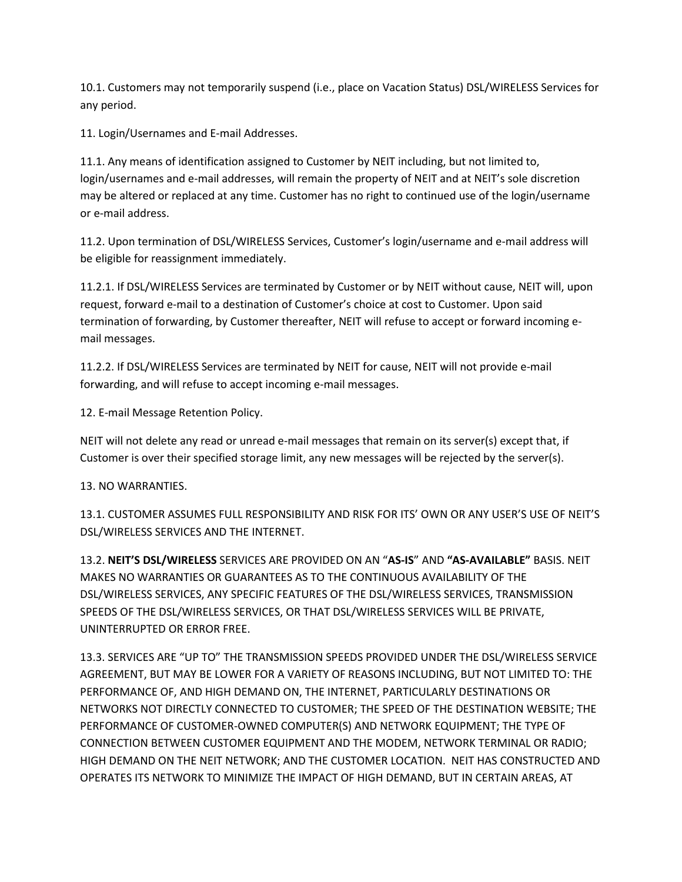10.1. Customers may not temporarily suspend (i.e., place on Vacation Status) DSL/WIRELESS Services for any period.

11. Login/Usernames and E-mail Addresses.

11.1. Any means of identification assigned to Customer by NEIT including, but not limited to, login/usernames and e-mail addresses, will remain the property of NEIT and at NEIT's sole discretion may be altered or replaced at any time. Customer has no right to continued use of the login/username or e-mail address.

11.2. Upon termination of DSL/WIRELESS Services, Customer's login/username and e-mail address will be eligible for reassignment immediately.

11.2.1. If DSL/WIRELESS Services are terminated by Customer or by NEIT without cause, NEIT will, upon request, forward e-mail to a destination of Customer's choice at cost to Customer. Upon said termination of forwarding, by Customer thereafter, NEIT will refuse to accept or forward incoming email messages.

11.2.2. If DSL/WIRELESS Services are terminated by NEIT for cause, NEIT will not provide e-mail forwarding, and will refuse to accept incoming e-mail messages.

12. E-mail Message Retention Policy.

NEIT will not delete any read or unread e-mail messages that remain on its server(s) except that, if Customer is over their specified storage limit, any new messages will be rejected by the server(s).

## 13. NO WARRANTIES.

13.1. CUSTOMER ASSUMES FULL RESPONSIBILITY AND RISK FOR ITS' OWN OR ANY USER'S USE OF NEIT'S DSL/WIRELESS SERVICES AND THE INTERNET.

13.2. **NEIT'S DSL/WIRELESS** SERVICES ARE PROVIDED ON AN "**AS-IS**" AND **"AS-AVAILABLE"** BASIS. NEIT MAKES NO WARRANTIES OR GUARANTEES AS TO THE CONTINUOUS AVAILABILITY OF THE DSL/WIRELESS SERVICES, ANY SPECIFIC FEATURES OF THE DSL/WIRELESS SERVICES, TRANSMISSION SPEEDS OF THE DSL/WIRELESS SERVICES, OR THAT DSL/WIRELESS SERVICES WILL BE PRIVATE, UNINTERRUPTED OR ERROR FREE.

13.3. SERVICES ARE "UP TO" THE TRANSMISSION SPEEDS PROVIDED UNDER THE DSL/WIRELESS SERVICE AGREEMENT, BUT MAY BE LOWER FOR A VARIETY OF REASONS INCLUDING, BUT NOT LIMITED TO: THE PERFORMANCE OF, AND HIGH DEMAND ON, THE INTERNET, PARTICULARLY DESTINATIONS OR NETWORKS NOT DIRECTLY CONNECTED TO CUSTOMER; THE SPEED OF THE DESTINATION WEBSITE; THE PERFORMANCE OF CUSTOMER-OWNED COMPUTER(S) AND NETWORK EQUIPMENT; THE TYPE OF CONNECTION BETWEEN CUSTOMER EQUIPMENT AND THE MODEM, NETWORK TERMINAL OR RADIO; HIGH DEMAND ON THE NEIT NETWORK; AND THE CUSTOMER LOCATION. NEIT HAS CONSTRUCTED AND OPERATES ITS NETWORK TO MINIMIZE THE IMPACT OF HIGH DEMAND, BUT IN CERTAIN AREAS, AT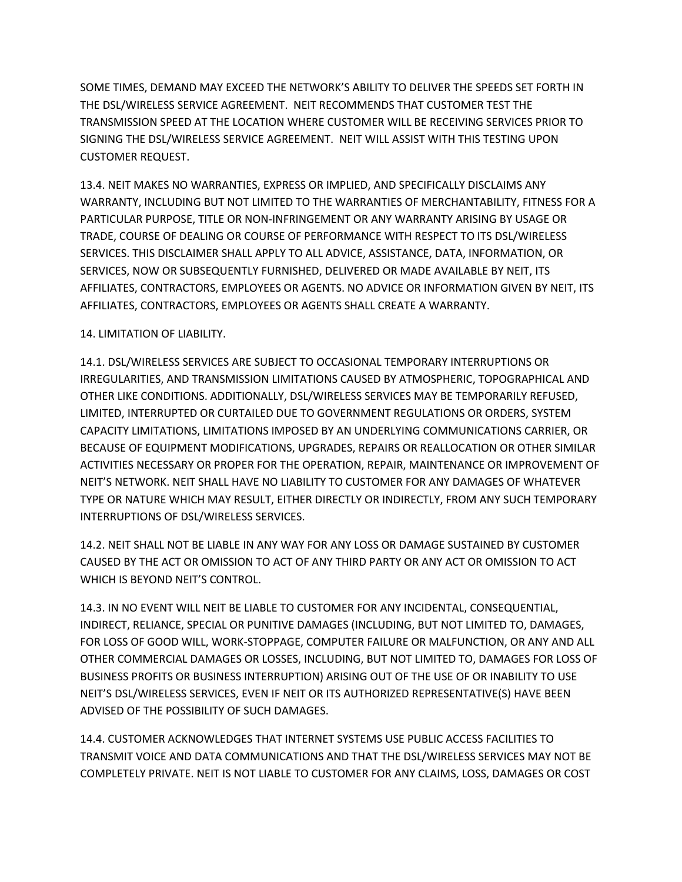SOME TIMES, DEMAND MAY EXCEED THE NETWORK'S ABILITY TO DELIVER THE SPEEDS SET FORTH IN THE DSL/WIRELESS SERVICE AGREEMENT. NEIT RECOMMENDS THAT CUSTOMER TEST THE TRANSMISSION SPEED AT THE LOCATION WHERE CUSTOMER WILL BE RECEIVING SERVICES PRIOR TO SIGNING THE DSL/WIRELESS SERVICE AGREEMENT. NEIT WILL ASSIST WITH THIS TESTING UPON CUSTOMER REQUEST.

13.4. NEIT MAKES NO WARRANTIES, EXPRESS OR IMPLIED, AND SPECIFICALLY DISCLAIMS ANY WARRANTY, INCLUDING BUT NOT LIMITED TO THE WARRANTIES OF MERCHANTABILITY, FITNESS FOR A PARTICULAR PURPOSE, TITLE OR NON-INFRINGEMENT OR ANY WARRANTY ARISING BY USAGE OR TRADE, COURSE OF DEALING OR COURSE OF PERFORMANCE WITH RESPECT TO ITS DSL/WIRELESS SERVICES. THIS DISCLAIMER SHALL APPLY TO ALL ADVICE, ASSISTANCE, DATA, INFORMATION, OR SERVICES, NOW OR SUBSEQUENTLY FURNISHED, DELIVERED OR MADE AVAILABLE BY NEIT, ITS AFFILIATES, CONTRACTORS, EMPLOYEES OR AGENTS. NO ADVICE OR INFORMATION GIVEN BY NEIT, ITS AFFILIATES, CONTRACTORS, EMPLOYEES OR AGENTS SHALL CREATE A WARRANTY.

## 14. LIMITATION OF LIABILITY.

14.1. DSL/WIRELESS SERVICES ARE SUBJECT TO OCCASIONAL TEMPORARY INTERRUPTIONS OR IRREGULARITIES, AND TRANSMISSION LIMITATIONS CAUSED BY ATMOSPHERIC, TOPOGRAPHICAL AND OTHER LIKE CONDITIONS. ADDITIONALLY, DSL/WIRELESS SERVICES MAY BE TEMPORARILY REFUSED, LIMITED, INTERRUPTED OR CURTAILED DUE TO GOVERNMENT REGULATIONS OR ORDERS, SYSTEM CAPACITY LIMITATIONS, LIMITATIONS IMPOSED BY AN UNDERLYING COMMUNICATIONS CARRIER, OR BECAUSE OF EQUIPMENT MODIFICATIONS, UPGRADES, REPAIRS OR REALLOCATION OR OTHER SIMILAR ACTIVITIES NECESSARY OR PROPER FOR THE OPERATION, REPAIR, MAINTENANCE OR IMPROVEMENT OF NEIT'S NETWORK. NEIT SHALL HAVE NO LIABILITY TO CUSTOMER FOR ANY DAMAGES OF WHATEVER TYPE OR NATURE WHICH MAY RESULT, EITHER DIRECTLY OR INDIRECTLY, FROM ANY SUCH TEMPORARY INTERRUPTIONS OF DSL/WIRELESS SERVICES.

14.2. NEIT SHALL NOT BE LIABLE IN ANY WAY FOR ANY LOSS OR DAMAGE SUSTAINED BY CUSTOMER CAUSED BY THE ACT OR OMISSION TO ACT OF ANY THIRD PARTY OR ANY ACT OR OMISSION TO ACT WHICH IS BEYOND NEIT'S CONTROL.

14.3. IN NO EVENT WILL NEIT BE LIABLE TO CUSTOMER FOR ANY INCIDENTAL, CONSEQUENTIAL, INDIRECT, RELIANCE, SPECIAL OR PUNITIVE DAMAGES (INCLUDING, BUT NOT LIMITED TO, DAMAGES, FOR LOSS OF GOOD WILL, WORK-STOPPAGE, COMPUTER FAILURE OR MALFUNCTION, OR ANY AND ALL OTHER COMMERCIAL DAMAGES OR LOSSES, INCLUDING, BUT NOT LIMITED TO, DAMAGES FOR LOSS OF BUSINESS PROFITS OR BUSINESS INTERRUPTION) ARISING OUT OF THE USE OF OR INABILITY TO USE NEIT'S DSL/WIRELESS SERVICES, EVEN IF NEIT OR ITS AUTHORIZED REPRESENTATIVE(S) HAVE BEEN ADVISED OF THE POSSIBILITY OF SUCH DAMAGES.

14.4. CUSTOMER ACKNOWLEDGES THAT INTERNET SYSTEMS USE PUBLIC ACCESS FACILITIES TO TRANSMIT VOICE AND DATA COMMUNICATIONS AND THAT THE DSL/WIRELESS SERVICES MAY NOT BE COMPLETELY PRIVATE. NEIT IS NOT LIABLE TO CUSTOMER FOR ANY CLAIMS, LOSS, DAMAGES OR COST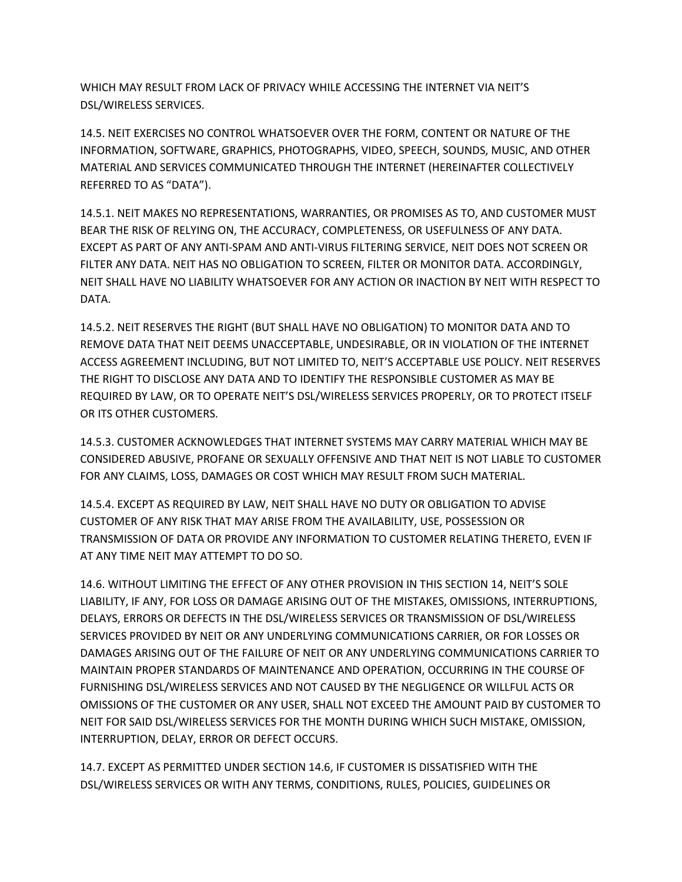WHICH MAY RESULT FROM LACK OF PRIVACY WHILE ACCESSING THE INTERNET VIA NEIT'S DSL/WIRELESS SERVICES.

14.5. NEIT EXERCISES NO CONTROL WHATSOEVER OVER THE FORM, CONTENT OR NATURE OF THE INFORMATION, SOFTWARE, GRAPHICS, PHOTOGRAPHS, VIDEO, SPEECH, SOUNDS, MUSIC, AND OTHER MATERIAL AND SERVICES COMMUNICATED THROUGH THE INTERNET (HEREINAFTER COLLECTIVELY REFERRED TO AS "DATA").

14.5.1. NEIT MAKES NO REPRESENTATIONS, WARRANTIES, OR PROMISES AS TO, AND CUSTOMER MUST BEAR THE RISK OF RELYING ON, THE ACCURACY, COMPLETENESS, OR USEFULNESS OF ANY DATA. EXCEPT AS PART OF ANY ANTI-SPAM AND ANTI-VIRUS FILTERING SERVICE, NEIT DOES NOT SCREEN OR FILTER ANY DATA. NEIT HAS NO OBLIGATION TO SCREEN, FILTER OR MONITOR DATA. ACCORDINGLY, NEIT SHALL HAVE NO LIABILITY WHATSOEVER FOR ANY ACTION OR INACTION BY NEIT WITH RESPECT TO DATA.

14.5.2. NEIT RESERVES THE RIGHT (BUT SHALL HAVE NO OBLIGATION) TO MONITOR DATA AND TO REMOVE DATA THAT NEIT DEEMS UNACCEPTABLE, UNDESIRABLE, OR IN VIOLATION OF THE INTERNET ACCESS AGREEMENT INCLUDING, BUT NOT LIMITED TO, NEIT'S ACCEPTABLE USE POLICY. NEIT RESERVES THE RIGHT TO DISCLOSE ANY DATA AND TO IDENTIFY THE RESPONSIBLE CUSTOMER AS MAY BE REQUIRED BY LAW, OR TO OPERATE NEIT'S DSL/WIRELESS SERVICES PROPERLY, OR TO PROTECT ITSELF OR ITS OTHER CUSTOMERS.

14.5.3. CUSTOMER ACKNOWLEDGES THAT INTERNET SYSTEMS MAY CARRY MATERIAL WHICH MAY BE CONSIDERED ABUSIVE, PROFANE OR SEXUALLY OFFENSIVE AND THAT NEIT IS NOT LIABLE TO CUSTOMER FOR ANY CLAIMS, LOSS, DAMAGES OR COST WHICH MAY RESULT FROM SUCH MATERIAL.

14.5.4. EXCEPT AS REQUIRED BY LAW, NEIT SHALL HAVE NO DUTY OR OBLIGATION TO ADVISE CUSTOMER OF ANY RISK THAT MAY ARISE FROM THE AVAILABILITY, USE, POSSESSION OR TRANSMISSION OF DATA OR PROVIDE ANY INFORMATION TO CUSTOMER RELATING THERETO, EVEN IF AT ANY TIME NEIT MAY ATTEMPT TO DO SO.

14.6. WITHOUT LIMITING THE EFFECT OF ANY OTHER PROVISION IN THIS SECTION 14, NEIT'S SOLE LIABILITY, IF ANY, FOR LOSS OR DAMAGE ARISING OUT OF THE MISTAKES, OMISSIONS, INTERRUPTIONS, DELAYS, ERRORS OR DEFECTS IN THE DSL/WIRELESS SERVICES OR TRANSMISSION OF DSL/WIRELESS SERVICES PROVIDED BY NEIT OR ANY UNDERLYING COMMUNICATIONS CARRIER, OR FOR LOSSES OR DAMAGES ARISING OUT OF THE FAILURE OF NEIT OR ANY UNDERLYING COMMUNICATIONS CARRIER TO MAINTAIN PROPER STANDARDS OF MAINTENANCE AND OPERATION, OCCURRING IN THE COURSE OF FURNISHING DSL/WIRELESS SERVICES AND NOT CAUSED BY THE NEGLIGENCE OR WILLFUL ACTS OR OMISSIONS OF THE CUSTOMER OR ANY USER, SHALL NOT EXCEED THE AMOUNT PAID BY CUSTOMER TO NEIT FOR SAID DSL/WIRELESS SERVICES FOR THE MONTH DURING WHICH SUCH MISTAKE, OMISSION, INTERRUPTION, DELAY, ERROR OR DEFECT OCCURS.

14.7. EXCEPT AS PERMITTED UNDER SECTION 14.6, IF CUSTOMER IS DISSATISFIED WITH THE DSL/WIRELESS SERVICES OR WITH ANY TERMS, CONDITIONS, RULES, POLICIES, GUIDELINES OR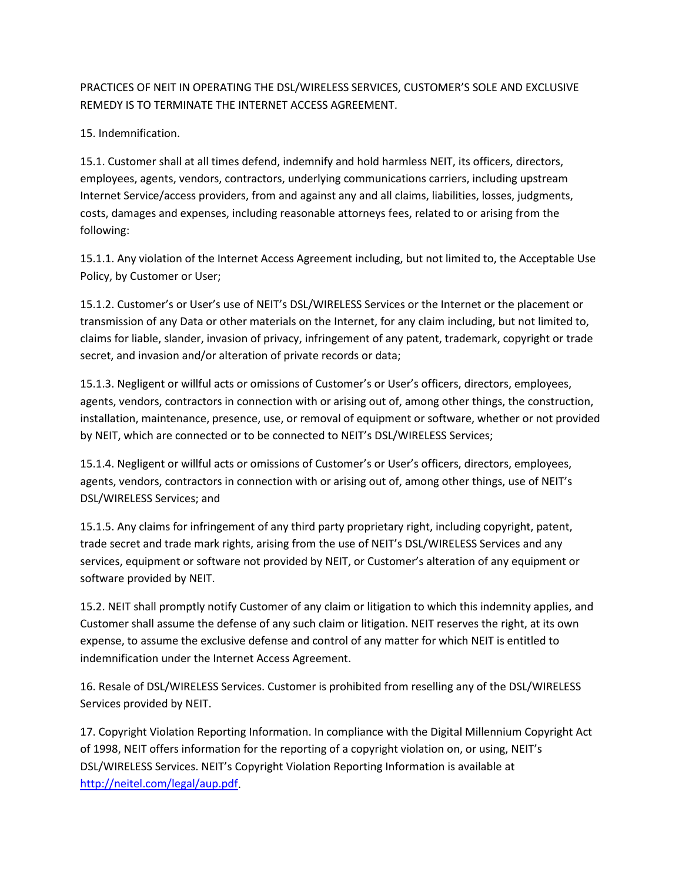## PRACTICES OF NEIT IN OPERATING THE DSL/WIRELESS SERVICES, CUSTOMER'S SOLE AND EXCLUSIVE REMEDY IS TO TERMINATE THE INTERNET ACCESS AGREEMENT.

15. Indemnification.

15.1. Customer shall at all times defend, indemnify and hold harmless NEIT, its officers, directors, employees, agents, vendors, contractors, underlying communications carriers, including upstream Internet Service/access providers, from and against any and all claims, liabilities, losses, judgments, costs, damages and expenses, including reasonable attorneys fees, related to or arising from the following:

15.1.1. Any violation of the Internet Access Agreement including, but not limited to, the Acceptable Use Policy, by Customer or User;

15.1.2. Customer's or User's use of NEIT's DSL/WIRELESS Services or the Internet or the placement or transmission of any Data or other materials on the Internet, for any claim including, but not limited to, claims for liable, slander, invasion of privacy, infringement of any patent, trademark, copyright or trade secret, and invasion and/or alteration of private records or data;

15.1.3. Negligent or willful acts or omissions of Customer's or User's officers, directors, employees, agents, vendors, contractors in connection with or arising out of, among other things, the construction, installation, maintenance, presence, use, or removal of equipment or software, whether or not provided by NEIT, which are connected or to be connected to NEIT's DSL/WIRELESS Services;

15.1.4. Negligent or willful acts or omissions of Customer's or User's officers, directors, employees, agents, vendors, contractors in connection with or arising out of, among other things, use of NEIT's DSL/WIRELESS Services; and

15.1.5. Any claims for infringement of any third party proprietary right, including copyright, patent, trade secret and trade mark rights, arising from the use of NEIT's DSL/WIRELESS Services and any services, equipment or software not provided by NEIT, or Customer's alteration of any equipment or software provided by NEIT.

15.2. NEIT shall promptly notify Customer of any claim or litigation to which this indemnity applies, and Customer shall assume the defense of any such claim or litigation. NEIT reserves the right, at its own expense, to assume the exclusive defense and control of any matter for which NEIT is entitled to indemnification under the Internet Access Agreement.

16. Resale of DSL/WIRELESS Services. Customer is prohibited from reselling any of the DSL/WIRELESS Services provided by NEIT.

17. Copyright Violation Reporting Information. In compliance with the Digital Millennium Copyright Act of 1998, NEIT offers information for the reporting of a copyright violation on, or using, NEIT's DSL/WIRELESS Services. NEIT's Copyright Violation Reporting Information is available at [http://neitel.com/legal/aup.pdf.](http://neitel.com/legal/aup.pdf)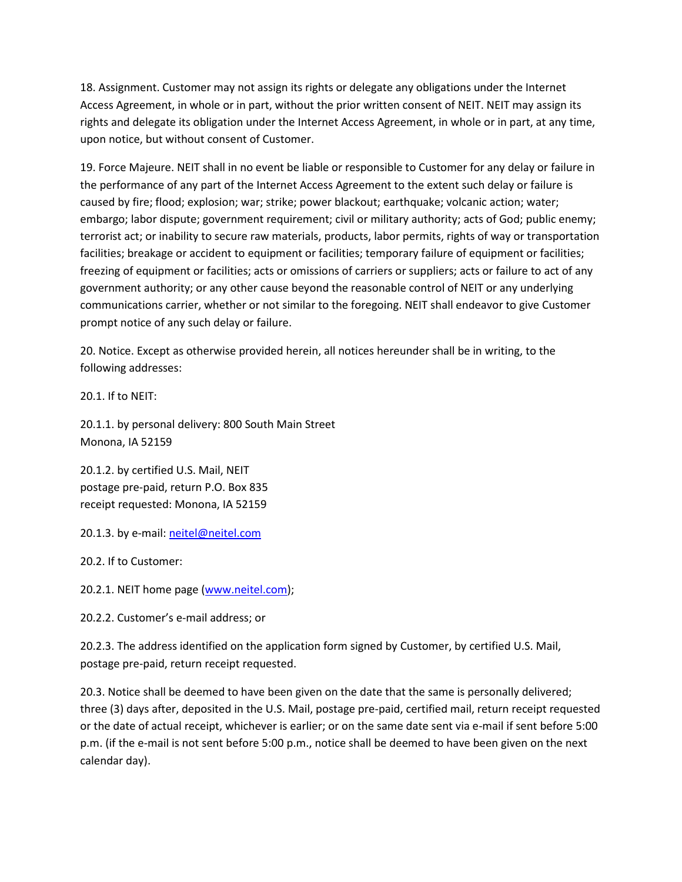18. Assignment. Customer may not assign its rights or delegate any obligations under the Internet Access Agreement, in whole or in part, without the prior written consent of NEIT. NEIT may assign its rights and delegate its obligation under the Internet Access Agreement, in whole or in part, at any time, upon notice, but without consent of Customer.

19. Force Majeure. NEIT shall in no event be liable or responsible to Customer for any delay or failure in the performance of any part of the Internet Access Agreement to the extent such delay or failure is caused by fire; flood; explosion; war; strike; power blackout; earthquake; volcanic action; water; embargo; labor dispute; government requirement; civil or military authority; acts of God; public enemy; terrorist act; or inability to secure raw materials, products, labor permits, rights of way or transportation facilities; breakage or accident to equipment or facilities; temporary failure of equipment or facilities; freezing of equipment or facilities; acts or omissions of carriers or suppliers; acts or failure to act of any government authority; or any other cause beyond the reasonable control of NEIT or any underlying communications carrier, whether or not similar to the foregoing. NEIT shall endeavor to give Customer prompt notice of any such delay or failure.

20. Notice. Except as otherwise provided herein, all notices hereunder shall be in writing, to the following addresses:

20.1. If to NEIT:

20.1.1. by personal delivery: 800 South Main Street Monona, IA 52159

20.1.2. by certified U.S. Mail, NEIT postage pre-paid, return P.O. Box 835 receipt requested: Monona, IA 52159

20.1.3. by e-mail[: neitel@neitel.com](mailto:neitel@neitel.com)

20.2. If to Customer:

20.2.1. NEIT home page [\(www.neitel.com\)](http://www.neitel.com/);

20.2.2. Customer's e-mail address; or

20.2.3. The address identified on the application form signed by Customer, by certified U.S. Mail, postage pre-paid, return receipt requested.

20.3. Notice shall be deemed to have been given on the date that the same is personally delivered; three (3) days after, deposited in the U.S. Mail, postage pre-paid, certified mail, return receipt requested or the date of actual receipt, whichever is earlier; or on the same date sent via e-mail if sent before 5:00 p.m. (if the e-mail is not sent before 5:00 p.m., notice shall be deemed to have been given on the next calendar day).